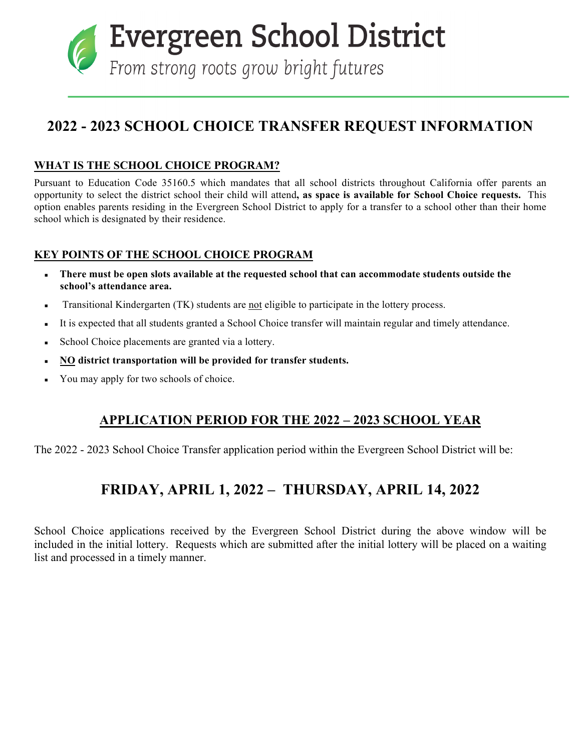Evergreen School District

From strong roots grow bright futures

# **2022 - 2023 SCHOOL CHOICE TRANSFER REQUEST INFORMATION**

### **WHAT IS THE SCHOOL CHOICE PROGRAM?**

Pursuant to Education Code 35160.5 which mandates that all school districts throughout California offer parents an opportunity to select the district school their child will attend**, as space is available for School Choice requests.** This option enables parents residing in the Evergreen School District to apply for a transfer to a school other than their home school which is designated by their residence.

## **KEY POINTS OF THE SCHOOL CHOICE PROGRAM**

- **There must be open slots available at the requested school that can accommodate students outside the school's attendance area.**
- **•** Transitional Kindergarten (TK) students are not eligible to participate in the lottery process.
- It is expected that all students granted a School Choice transfer will maintain regular and timely attendance.
- School Choice placements are granted via a lottery.
- **NO district transportation will be provided for transfer students.**
- You may apply for two schools of choice.

## **APPLICATION PERIOD FOR THE 2022 – 2023 SCHOOL YEAR**

The 2022 - 2023 School Choice Transfer application period within the Evergreen School District will be:

## **FRIDAY, APRIL 1, 2022 – THURSDAY, APRIL 14, 2022**

School Choice applications received by the Evergreen School District during the above window will be included in the initial lottery. Requests which are submitted after the initial lottery will be placed on a waiting list and processed in a timely manner.